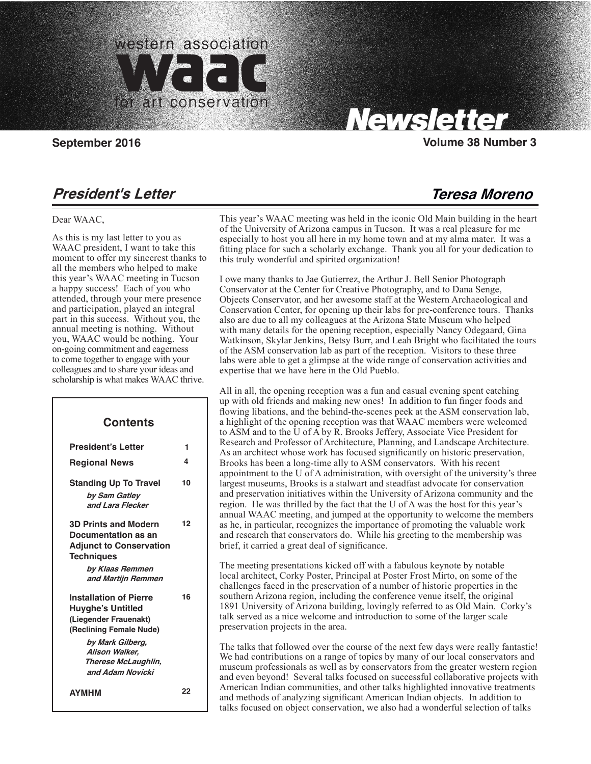

Carolyn Tallent, Editor

# Santa Monica, CA 90403

# **President's Letter**

#### Dear WAAC,

 $\overline{\phantom{a}}$ 

As this is my last letter to you as WAAC president, I want to take this moment to offer my sincerest thanks to all the members who helped to make this year's WAAC meeting in Tucson a happy success! Each of you who attended, through your mere presence and participation, played an integral part in this success. Without you, the annual meeting is nothing. Without you, WAAC would be nothing. Your on-going commitment and eagerness to come together to engage with your colleagues and to share your ideas and scholarship is what makes WAAC thrive.

| Contents                                                                                                                                                                                              |    |
|-------------------------------------------------------------------------------------------------------------------------------------------------------------------------------------------------------|----|
| <b>President's Letter</b>                                                                                                                                                                             | 1  |
| <b>Regional News</b>                                                                                                                                                                                  | 4  |
| <b>Standing Up To Travel</b><br>by Sam Gatley<br>and Lara Flecker                                                                                                                                     | 10 |
| <b>3D Prints and Modern</b><br>Documentation as an<br><b>Adjunct to Conservation</b><br><b>Techniques</b>                                                                                             | 12 |
| by Klaas Remmen<br>and Martijn Remmen                                                                                                                                                                 |    |
| <b>Installation of Pierre</b><br><b>Huyghe's Untitled</b><br>(Liegender Frauenakt)<br>(Reclining Female Nude)<br>by Mark Gilberg,<br><b>Alison Walker.</b><br>Therese McLaughlin,<br>and Adam Novicki | 16 |
| <b>AYMHM</b>                                                                                                                                                                                          | 22 |

# **Newsletter**

**September 2016** Volume 38 Number 3

**Teresa Moreno**

This year's WAAC meeting was held in the iconic Old Main building in the heart of the University of Arizona campus in Tucson. It was a real pleasure for me especially to host you all here in my home town and at my alma mater. It was a fitting place for such a scholarly exchange. Thank you all for your dedication to this truly wonderful and spirited organization!

I owe many thanks to Jae Gutierrez, the Arthur J. Bell Senior Photograph Conservator at the Center for Creative Photography, and to Dana Senge, Objects Conservator, and her awesome staff at the Western Archaeological and Conservation Center, for opening up their labs for pre-conference tours. Thanks also are due to all my colleagues at the Arizona State Museum who helped with many details for the opening reception, especially Nancy Odegaard, Gina Watkinson, Skylar Jenkins, Betsy Burr, and Leah Bright who facilitated the tours of the ASM conservation lab as part of the reception. Visitors to these three labs were able to get a glimpse at the wide range of conservation activities and expertise that we have here in the Old Pueblo.

All in all, the opening reception was a fun and casual evening spent catching up with old friends and making new ones! In addition to fun finger foods and flowing libations, and the behind-the-scenes peek at the ASM conservation lab, a highlight of the opening reception was that WAAC members were welcomed to ASM and to the U of A by R. Brooks Jeffery, Associate Vice President for Research and Professor of Architecture, Planning, and Landscape Architecture. As an architect whose work has focused significantly on historic preservation, Brooks has been a long-time ally to ASM conservators. With his recent appointment to the U of A administration, with oversight of the university's three largest museums, Brooks is a stalwart and steadfast advocate for conservation and preservation initiatives within the University of Arizona community and the region. He was thrilled by the fact that the U of A was the host for this year's annual WAAC meeting, and jumped at the opportunity to welcome the members as he, in particular, recognizes the importance of promoting the valuable work and research that conservators do. While his greeting to the membership was brief, it carried a great deal of significance.

The meeting presentations kicked off with a fabulous keynote by notable local architect, Corky Poster, Principal at Poster Frost Mirto, on some of the challenges faced in the preservation of a number of historic properties in the southern Arizona region, including the conference venue itself, the original 1891 University of Arizona building, lovingly referred to as Old Main. Corky's talk served as a nice welcome and introduction to some of the larger scale preservation projects in the area.

The talks that followed over the course of the next few days were really fantastic! We had contributions on a range of topics by many of our local conservators and museum professionals as well as by conservators from the greater western region and even beyond! Several talks focused on successful collaborative projects with American Indian communities, and other talks highlighted innovative treatments and methods of analyzing significant American Indian objects. In addition to talks focused on object conservation, we also had a wonderful selection of talks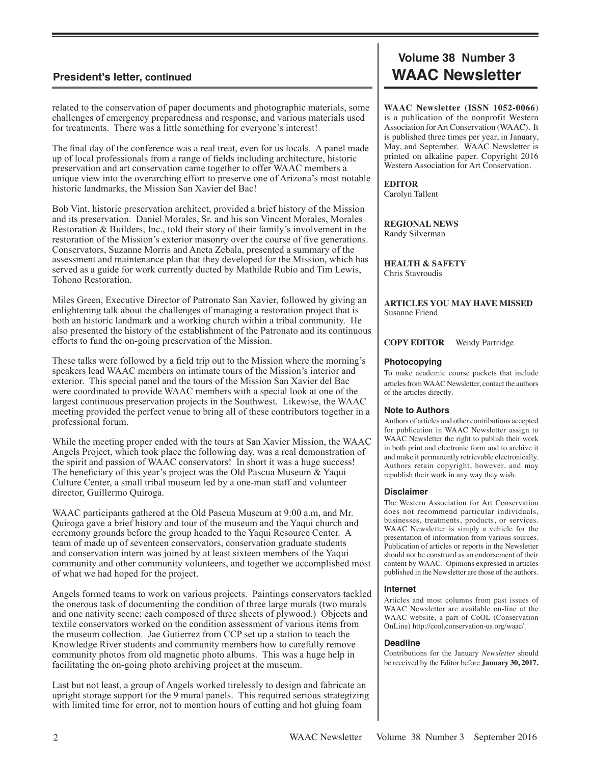related to the conservation of paper documents and photographic materials, some challenges of emergency preparedness and response, and various materials used for treatments. There was a little something for everyone's interest!

The final day of the conference was a real treat, even for us locals. A panel made up of local professionals from a range of fields including architecture, historic preservation and art conservation came together to offer WAAC members a unique view into the overarching effort to preserve one of Arizona's most notable historic landmarks, the Mission San Xavier del Bac!

Bob Vint, historic preservation architect, provided a brief history of the Mission and its preservation. Daniel Morales, Sr. and his son Vincent Morales, Morales Restoration & Builders, Inc., told their story of their family's involvement in the restoration of the Mission's exterior masonry over the course of five generations. Conservators, Suzanne Morris and Aneta Zebala, presented a summary of the assessment and maintenance plan that they developed for the Mission, which has served as a guide for work currently ducted by Mathilde Rubio and Tim Lewis, Tohono Restoration.

Miles Green, Executive Director of Patronato San Xavier, followed by giving an enlightening talk about the challenges of managing a restoration project that is both an historic landmark and a working church within a tribal community. He also presented the history of the establishment of the Patronato and its continuous efforts to fund the on-going preservation of the Mission.

These talks were followed by a field trip out to the Mission where the morning's speakers lead WAAC members on intimate tours of the Mission's interior and exterior. This special panel and the tours of the Mission San Xavier del Bac were coordinated to provide WAAC members with a special look at one of the largest continuous preservation projects in the Southwest. Likewise, the WAAC meeting provided the perfect venue to bring all of these contributors together in a professional forum.

While the meeting proper ended with the tours at San Xavier Mission, the WAAC Angels Project, which took place the following day, was a real demonstration of the spirit and passion of WAAC conservators! In short it was a huge success! The beneficiary of this year's project was the Old Pascua Museum & Yaqui Culture Center, a small tribal museum led by a one-man staff and volunteer director, Guillermo Quiroga.

WAAC participants gathered at the Old Pascua Museum at 9:00 a.m, and Mr. Quiroga gave a brief history and tour of the museum and the Yaqui church and ceremony grounds before the group headed to the Yaqui Resource Center. A team of made up of seventeen conservators, conservation graduate students and conservation intern was joined by at least sixteen members of the Yaqui community and other community volunteers, and together we accomplished most of what we had hoped for the project.

Angels formed teams to work on various projects. Paintings conservators tackled the onerous task of documenting the condition of three large murals (two murals and one nativity scene; each composed of three sheets of plywood.) Objects and textile conservators worked on the condition assessment of various items from the museum collection. Jae Gutierrez from CCP set up a station to teach the Knowledge River students and community members how to carefully remove community photos from old magnetic photo albums. This was a huge help in facilitating the on-going photo archiving project at the museum.

Last but not least, a group of Angels worked tirelessly to design and fabricate an upright storage support for the 9 mural panels. This required serious strategizing with limited time for error, not to mention hours of cutting and hot gluing foam

# **Volume 38 Number 3 President's letter, continued WAAC Newsletter**

**WAAC Newsletter (ISSN 1052-0066**) is a publication of the nonprofit Western Association for Art Conservation (WAAC). It is published three times per year, in January, May, and September. WAAC Newsletter is printed on alkaline paper. Copyright 2016 Western Association for Art Conservation.

**EDITOR**

Carolyn Tallent

**REGIONAL NEWS** Randy Silverman

**HEALTH & SAFETY** Chris Stavroudis

**ARTICLES YOU MAY HAVE MISSED** Susanne Friend

#### **COPY EDITOR** Wendy Partridge

#### **Photocopying**

To make academic course packets that include articles from WAAC Newsletter, contact the authors of the articles directly.

#### **Note to Authors**

Authors of articles and other contributions accepted for publication in WAAC Newsletter assign to WAAC Newsletter the right to publish their work in both print and electronic form and to archive it and make it permanently retrievable electronically. Authors retain copyright, however, and may republish their work in any way they wish.

#### **Disclaimer**

The Western Association for Art Conservation does not recommend particular individuals, businesses, treatments, products, or services. WAAC Newsletter is simply a vehicle for the presentation of information from various sources. Publication of articles or reports in the Newsletter should not be construed as an endorsement of their content by WAAC. Opinions expressed in articles published in the Newsletter are those of the authors.

#### **Internet**

Articles and most columns from past issues of WAAC Newsletter are available on-line at the WAAC website, a part of CoOL (Conservation OnLine) http://cool.conservation-us.org/waac/.

#### **Deadline**

Contributions for the January *Newsletter* should be received by the Editor before **January 30, 2017.**